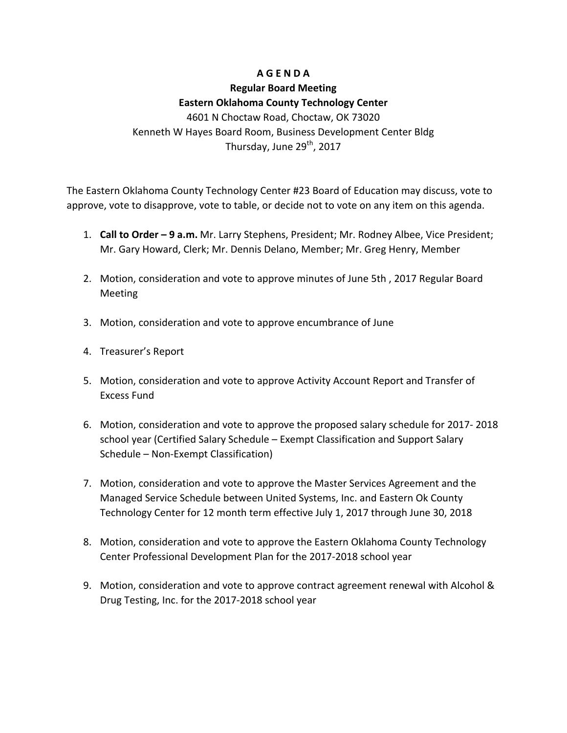### **A G E N D A**

# **Regular Board Meeting Eastern Oklahoma County Technology Center**

4601 N Choctaw Road, Choctaw, OK 73020 Kenneth W Haves Board Room, Business Development Center Bldg Thursday, June  $29<sup>th</sup>$ , 2017

The Eastern Oklahoma County Technology Center #23 Board of Education may discuss, vote to approve, vote to disapprove, vote to table, or decide not to vote on any item on this agenda.

- 1. **Call to Order 9 a.m.** Mr. Larry Stephens, President; Mr. Rodney Albee, Vice President; Mr. Gary Howard, Clerk; Mr. Dennis Delano, Member; Mr. Greg Henry, Member
- 2. Motion, consideration and vote to approve minutes of June 5th, 2017 Regular Board **Meeting**
- 3. Motion, consideration and vote to approve encumbrance of June
- 4. Treasurer's Report
- 5. Motion, consideration and vote to approve Activity Account Report and Transfer of Excess Fund
- 6. Motion, consideration and vote to approve the proposed salary schedule for 2017-2018 school year (Certified Salary Schedule – Exempt Classification and Support Salary Schedule – Non-Exempt Classification)
- 7. Motion, consideration and vote to approve the Master Services Agreement and the Managed Service Schedule between United Systems, Inc. and Eastern Ok County Technology Center for 12 month term effective July 1, 2017 through June 30, 2018
- 8. Motion, consideration and vote to approve the Eastern Oklahoma County Technology Center Professional Development Plan for the 2017-2018 school year
- 9. Motion, consideration and vote to approve contract agreement renewal with Alcohol & Drug Testing, Inc. for the 2017-2018 school year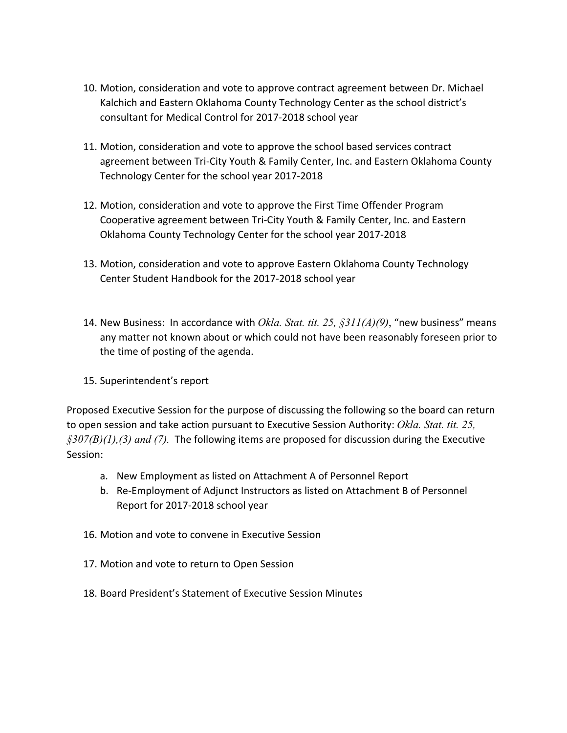- 10. Motion, consideration and vote to approve contract agreement between Dr. Michael Kalchich and Eastern Oklahoma County Technology Center as the school district's consultant for Medical Control for 2017-2018 school year
- 11. Motion, consideration and vote to approve the school based services contract agreement between Tri-City Youth & Family Center, Inc. and Eastern Oklahoma County Technology Center for the school year 2017-2018
- 12. Motion, consideration and vote to approve the First Time Offender Program Cooperative agreement between Tri-City Youth & Family Center, Inc. and Eastern Oklahoma County Technology Center for the school year 2017-2018
- 13. Motion, consideration and vote to approve Eastern Oklahoma County Technology Center Student Handbook for the 2017-2018 school year
- 14. New Business: In accordance with *Okla. Stat. tit. 25, §311(A)(9)*, "new business" means any matter not known about or which could not have been reasonably foreseen prior to the time of posting of the agenda.
- 15. Superintendent's report

Proposed Executive Session for the purpose of discussing the following so the board can return to open session and take action pursuant to Executive Session Authority: Okla. Stat. tit. 25,  $\frac{\delta 307}{B(1)}$ , (3) and (7). The following items are proposed for discussion during the Executive Session:

- a. New Employment as listed on Attachment A of Personnel Report
- b. Re-Employment of Adjunct Instructors as listed on Attachment B of Personnel Report for 2017-2018 school year
- 16. Motion and vote to convene in Executive Session
- 17. Motion and vote to return to Open Session
- 18. Board President's Statement of Executive Session Minutes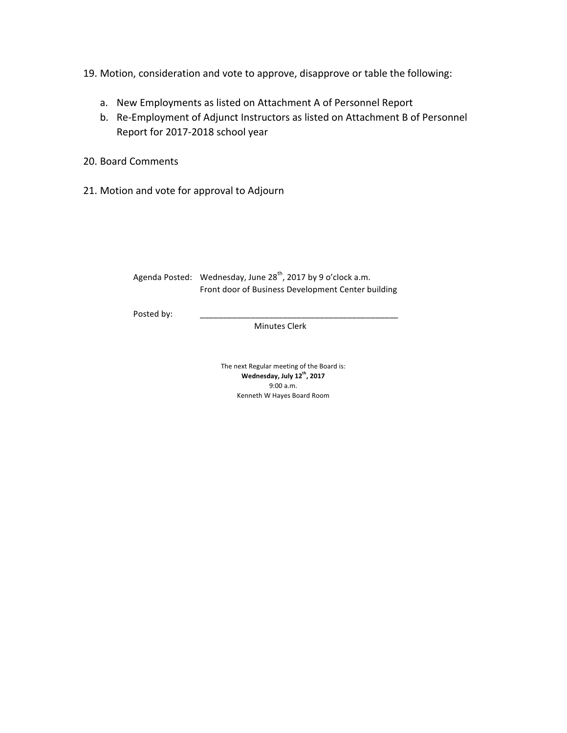19. Motion, consideration and vote to approve, disapprove or table the following:

- a. New Employments as listed on Attachment A of Personnel Report
- b. Re-Employment of Adjunct Instructors as listed on Attachment B of Personnel Report for 2017-2018 school year
- 20. Board Comments
- 21. Motion and vote for approval to Adjourn

| Agenda Posted: Wednesday, June 28 <sup>th</sup> , 2017 by 9 o'clock a.m. |
|--------------------------------------------------------------------------|
| Front door of Business Development Center building                       |

Posted by:

 Minutes Clerk

The next Regular meeting of the Board is: **Wednesday, July 12th, 2017** 9:00 a.m. Kenneth W Hayes Board Room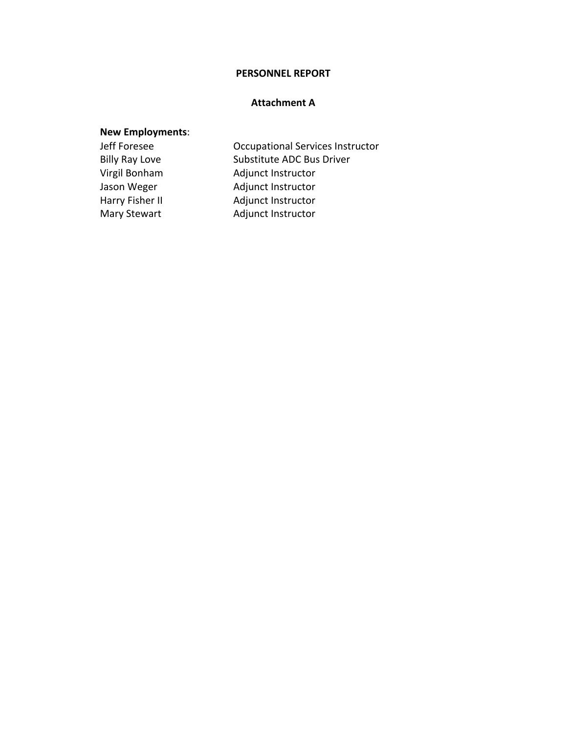#### **PERSONNEL REPORT**

### **Attachment A**

## **New Employments**:

Jeff Foresee **Departional Services Instructor** Billy Ray Love Substitute ADC Bus Driver Virgil Bonham Adjunct Instructor Jason Weger **Adjunct Instructor** Harry Fisher II and Adjunct Instructor Mary Stewart **Adjunct Instructor**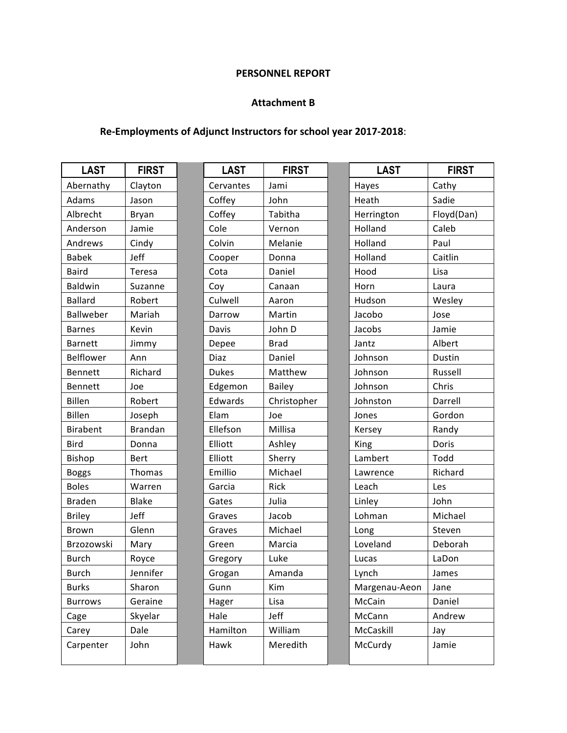### **PERSONNEL REPORT**

### **Attachment B**

## Re-Employments of Adjunct Instructors for school year 2017-2018:

| Abernathy<br>Cervantes<br>Clayton<br>Jami<br>Hayes<br>Cathy<br>Adams<br>John<br>Sadie<br>Coffey<br>Heath<br>Jason<br>Albrecht<br>Coffey<br>Tabitha<br>Herrington<br>Bryan<br>Cole<br>Caleb<br>Anderson<br>Jamie<br>Holland<br>Vernon<br>Colvin<br>Holland<br>Cindy<br>Melanie<br>Paul<br>Andrews<br>Jeff<br>Holland<br>Caitlin<br><b>Babek</b><br>Cooper<br>Donna<br><b>Baird</b><br>Cota<br>Daniel<br>Hood<br>Lisa<br>Teresa<br>Baldwin<br>Suzanne<br>Coy<br>Horn<br>Laura<br>Canaan<br>Culwell<br>Hudson<br><b>Ballard</b><br>Robert<br>Wesley<br>Aaron<br>Ballweber<br>Mariah<br>Darrow<br>Martin<br>Jacobo<br>Jose<br>Kevin<br>Davis<br>John D<br>Jacobs<br>Jamie<br><b>Barnes</b><br><b>Barnett</b><br>Albert<br>Jimmy<br>Depee<br><b>Brad</b><br>Jantz<br>Belflower<br>Diaz<br>Daniel<br>Johnson<br>Ann<br>Dustin<br><b>Dukes</b><br>Richard<br>Johnson<br>Russell<br>Bennett<br>Matthew<br>Chris<br>Bennett<br>Joe<br>Edgemon<br><b>Bailey</b><br>Johnson<br>Billen<br>Robert<br>Edwards<br>Christopher<br>Darrell<br>Johnston<br>Billen<br>Elam<br>Gordon<br>Joseph<br>Joe<br>Jones<br><b>Brandan</b><br>Ellefson<br>Millisa<br>Birabent<br>Randy<br>Kersey<br><b>Bird</b><br>Elliott<br>Doris<br>Donna<br>Ashley<br>King<br>Lambert<br>Bishop<br>Elliott<br>Sherry<br>Todd<br>Bert<br>Emillio<br>Michael<br>Richard<br>Thomas<br><b>Boggs</b><br>Lawrence<br><b>Boles</b><br>Garcia<br>Rick<br>Warren<br>Leach<br>Les<br>Julia<br><b>Blake</b><br>Linley<br>John<br><b>Braden</b><br>Gates<br>Jeff<br>Jacob<br>Michael<br><b>Briley</b><br>Graves<br>Lohman<br>Glenn<br>Brown<br>Michael<br>Graves<br>Steven<br>Long<br>Brzozowski<br>Marcia<br>Loveland<br>Mary<br>Green<br>Deborah<br><b>Burch</b><br>Royce<br>Luke<br>LaDon<br>Gregory<br>Lucas<br>Jennifer<br>Lynch<br><b>Burch</b><br>Grogan<br>Amanda<br>James<br>Sharon<br><b>Burks</b><br>Gunn<br>Kim<br>Margenau-Aeon<br>Jane<br>Geraine<br>McCain<br>Daniel<br><b>Burrows</b><br>Hager<br>Lisa<br>Jeff<br>Skyelar<br>Hale<br>McCann<br>Andrew<br>Cage | <b>LAST</b> | <b>FIRST</b> | <b>LAST</b> | <b>FIRST</b> | <b>LAST</b> | <b>FIRST</b> |
|--------------------------------------------------------------------------------------------------------------------------------------------------------------------------------------------------------------------------------------------------------------------------------------------------------------------------------------------------------------------------------------------------------------------------------------------------------------------------------------------------------------------------------------------------------------------------------------------------------------------------------------------------------------------------------------------------------------------------------------------------------------------------------------------------------------------------------------------------------------------------------------------------------------------------------------------------------------------------------------------------------------------------------------------------------------------------------------------------------------------------------------------------------------------------------------------------------------------------------------------------------------------------------------------------------------------------------------------------------------------------------------------------------------------------------------------------------------------------------------------------------------------------------------------------------------------------------------------------------------------------------------------------------------------------------------------------------------------------------------------------------------------------------------------------------------------------------------------------------------------------------------------------------------------------------------------------------------------------------------------------------------------------|-------------|--------------|-------------|--------------|-------------|--------------|
|                                                                                                                                                                                                                                                                                                                                                                                                                                                                                                                                                                                                                                                                                                                                                                                                                                                                                                                                                                                                                                                                                                                                                                                                                                                                                                                                                                                                                                                                                                                                                                                                                                                                                                                                                                                                                                                                                                                                                                                                                          |             |              |             |              |             |              |
|                                                                                                                                                                                                                                                                                                                                                                                                                                                                                                                                                                                                                                                                                                                                                                                                                                                                                                                                                                                                                                                                                                                                                                                                                                                                                                                                                                                                                                                                                                                                                                                                                                                                                                                                                                                                                                                                                                                                                                                                                          |             |              |             |              |             |              |
|                                                                                                                                                                                                                                                                                                                                                                                                                                                                                                                                                                                                                                                                                                                                                                                                                                                                                                                                                                                                                                                                                                                                                                                                                                                                                                                                                                                                                                                                                                                                                                                                                                                                                                                                                                                                                                                                                                                                                                                                                          |             |              |             |              |             | Floyd(Dan)   |
|                                                                                                                                                                                                                                                                                                                                                                                                                                                                                                                                                                                                                                                                                                                                                                                                                                                                                                                                                                                                                                                                                                                                                                                                                                                                                                                                                                                                                                                                                                                                                                                                                                                                                                                                                                                                                                                                                                                                                                                                                          |             |              |             |              |             |              |
|                                                                                                                                                                                                                                                                                                                                                                                                                                                                                                                                                                                                                                                                                                                                                                                                                                                                                                                                                                                                                                                                                                                                                                                                                                                                                                                                                                                                                                                                                                                                                                                                                                                                                                                                                                                                                                                                                                                                                                                                                          |             |              |             |              |             |              |
|                                                                                                                                                                                                                                                                                                                                                                                                                                                                                                                                                                                                                                                                                                                                                                                                                                                                                                                                                                                                                                                                                                                                                                                                                                                                                                                                                                                                                                                                                                                                                                                                                                                                                                                                                                                                                                                                                                                                                                                                                          |             |              |             |              |             |              |
|                                                                                                                                                                                                                                                                                                                                                                                                                                                                                                                                                                                                                                                                                                                                                                                                                                                                                                                                                                                                                                                                                                                                                                                                                                                                                                                                                                                                                                                                                                                                                                                                                                                                                                                                                                                                                                                                                                                                                                                                                          |             |              |             |              |             |              |
|                                                                                                                                                                                                                                                                                                                                                                                                                                                                                                                                                                                                                                                                                                                                                                                                                                                                                                                                                                                                                                                                                                                                                                                                                                                                                                                                                                                                                                                                                                                                                                                                                                                                                                                                                                                                                                                                                                                                                                                                                          |             |              |             |              |             |              |
|                                                                                                                                                                                                                                                                                                                                                                                                                                                                                                                                                                                                                                                                                                                                                                                                                                                                                                                                                                                                                                                                                                                                                                                                                                                                                                                                                                                                                                                                                                                                                                                                                                                                                                                                                                                                                                                                                                                                                                                                                          |             |              |             |              |             |              |
|                                                                                                                                                                                                                                                                                                                                                                                                                                                                                                                                                                                                                                                                                                                                                                                                                                                                                                                                                                                                                                                                                                                                                                                                                                                                                                                                                                                                                                                                                                                                                                                                                                                                                                                                                                                                                                                                                                                                                                                                                          |             |              |             |              |             |              |
|                                                                                                                                                                                                                                                                                                                                                                                                                                                                                                                                                                                                                                                                                                                                                                                                                                                                                                                                                                                                                                                                                                                                                                                                                                                                                                                                                                                                                                                                                                                                                                                                                                                                                                                                                                                                                                                                                                                                                                                                                          |             |              |             |              |             |              |
|                                                                                                                                                                                                                                                                                                                                                                                                                                                                                                                                                                                                                                                                                                                                                                                                                                                                                                                                                                                                                                                                                                                                                                                                                                                                                                                                                                                                                                                                                                                                                                                                                                                                                                                                                                                                                                                                                                                                                                                                                          |             |              |             |              |             |              |
|                                                                                                                                                                                                                                                                                                                                                                                                                                                                                                                                                                                                                                                                                                                                                                                                                                                                                                                                                                                                                                                                                                                                                                                                                                                                                                                                                                                                                                                                                                                                                                                                                                                                                                                                                                                                                                                                                                                                                                                                                          |             |              |             |              |             |              |
|                                                                                                                                                                                                                                                                                                                                                                                                                                                                                                                                                                                                                                                                                                                                                                                                                                                                                                                                                                                                                                                                                                                                                                                                                                                                                                                                                                                                                                                                                                                                                                                                                                                                                                                                                                                                                                                                                                                                                                                                                          |             |              |             |              |             |              |
|                                                                                                                                                                                                                                                                                                                                                                                                                                                                                                                                                                                                                                                                                                                                                                                                                                                                                                                                                                                                                                                                                                                                                                                                                                                                                                                                                                                                                                                                                                                                                                                                                                                                                                                                                                                                                                                                                                                                                                                                                          |             |              |             |              |             |              |
|                                                                                                                                                                                                                                                                                                                                                                                                                                                                                                                                                                                                                                                                                                                                                                                                                                                                                                                                                                                                                                                                                                                                                                                                                                                                                                                                                                                                                                                                                                                                                                                                                                                                                                                                                                                                                                                                                                                                                                                                                          |             |              |             |              |             |              |
|                                                                                                                                                                                                                                                                                                                                                                                                                                                                                                                                                                                                                                                                                                                                                                                                                                                                                                                                                                                                                                                                                                                                                                                                                                                                                                                                                                                                                                                                                                                                                                                                                                                                                                                                                                                                                                                                                                                                                                                                                          |             |              |             |              |             |              |
|                                                                                                                                                                                                                                                                                                                                                                                                                                                                                                                                                                                                                                                                                                                                                                                                                                                                                                                                                                                                                                                                                                                                                                                                                                                                                                                                                                                                                                                                                                                                                                                                                                                                                                                                                                                                                                                                                                                                                                                                                          |             |              |             |              |             |              |
|                                                                                                                                                                                                                                                                                                                                                                                                                                                                                                                                                                                                                                                                                                                                                                                                                                                                                                                                                                                                                                                                                                                                                                                                                                                                                                                                                                                                                                                                                                                                                                                                                                                                                                                                                                                                                                                                                                                                                                                                                          |             |              |             |              |             |              |
|                                                                                                                                                                                                                                                                                                                                                                                                                                                                                                                                                                                                                                                                                                                                                                                                                                                                                                                                                                                                                                                                                                                                                                                                                                                                                                                                                                                                                                                                                                                                                                                                                                                                                                                                                                                                                                                                                                                                                                                                                          |             |              |             |              |             |              |
|                                                                                                                                                                                                                                                                                                                                                                                                                                                                                                                                                                                                                                                                                                                                                                                                                                                                                                                                                                                                                                                                                                                                                                                                                                                                                                                                                                                                                                                                                                                                                                                                                                                                                                                                                                                                                                                                                                                                                                                                                          |             |              |             |              |             |              |
|                                                                                                                                                                                                                                                                                                                                                                                                                                                                                                                                                                                                                                                                                                                                                                                                                                                                                                                                                                                                                                                                                                                                                                                                                                                                                                                                                                                                                                                                                                                                                                                                                                                                                                                                                                                                                                                                                                                                                                                                                          |             |              |             |              |             |              |
|                                                                                                                                                                                                                                                                                                                                                                                                                                                                                                                                                                                                                                                                                                                                                                                                                                                                                                                                                                                                                                                                                                                                                                                                                                                                                                                                                                                                                                                                                                                                                                                                                                                                                                                                                                                                                                                                                                                                                                                                                          |             |              |             |              |             |              |
|                                                                                                                                                                                                                                                                                                                                                                                                                                                                                                                                                                                                                                                                                                                                                                                                                                                                                                                                                                                                                                                                                                                                                                                                                                                                                                                                                                                                                                                                                                                                                                                                                                                                                                                                                                                                                                                                                                                                                                                                                          |             |              |             |              |             |              |
|                                                                                                                                                                                                                                                                                                                                                                                                                                                                                                                                                                                                                                                                                                                                                                                                                                                                                                                                                                                                                                                                                                                                                                                                                                                                                                                                                                                                                                                                                                                                                                                                                                                                                                                                                                                                                                                                                                                                                                                                                          |             |              |             |              |             |              |
|                                                                                                                                                                                                                                                                                                                                                                                                                                                                                                                                                                                                                                                                                                                                                                                                                                                                                                                                                                                                                                                                                                                                                                                                                                                                                                                                                                                                                                                                                                                                                                                                                                                                                                                                                                                                                                                                                                                                                                                                                          |             |              |             |              |             |              |
|                                                                                                                                                                                                                                                                                                                                                                                                                                                                                                                                                                                                                                                                                                                                                                                                                                                                                                                                                                                                                                                                                                                                                                                                                                                                                                                                                                                                                                                                                                                                                                                                                                                                                                                                                                                                                                                                                                                                                                                                                          |             |              |             |              |             |              |
|                                                                                                                                                                                                                                                                                                                                                                                                                                                                                                                                                                                                                                                                                                                                                                                                                                                                                                                                                                                                                                                                                                                                                                                                                                                                                                                                                                                                                                                                                                                                                                                                                                                                                                                                                                                                                                                                                                                                                                                                                          |             |              |             |              |             |              |
|                                                                                                                                                                                                                                                                                                                                                                                                                                                                                                                                                                                                                                                                                                                                                                                                                                                                                                                                                                                                                                                                                                                                                                                                                                                                                                                                                                                                                                                                                                                                                                                                                                                                                                                                                                                                                                                                                                                                                                                                                          |             |              |             |              |             |              |
|                                                                                                                                                                                                                                                                                                                                                                                                                                                                                                                                                                                                                                                                                                                                                                                                                                                                                                                                                                                                                                                                                                                                                                                                                                                                                                                                                                                                                                                                                                                                                                                                                                                                                                                                                                                                                                                                                                                                                                                                                          |             |              |             |              |             |              |
|                                                                                                                                                                                                                                                                                                                                                                                                                                                                                                                                                                                                                                                                                                                                                                                                                                                                                                                                                                                                                                                                                                                                                                                                                                                                                                                                                                                                                                                                                                                                                                                                                                                                                                                                                                                                                                                                                                                                                                                                                          |             |              |             |              |             |              |
|                                                                                                                                                                                                                                                                                                                                                                                                                                                                                                                                                                                                                                                                                                                                                                                                                                                                                                                                                                                                                                                                                                                                                                                                                                                                                                                                                                                                                                                                                                                                                                                                                                                                                                                                                                                                                                                                                                                                                                                                                          | Carey       | Dale         | Hamilton    | William      | McCaskill   | Jay          |
| John<br>Hawk<br>Meredith<br>McCurdy<br>Carpenter<br>Jamie                                                                                                                                                                                                                                                                                                                                                                                                                                                                                                                                                                                                                                                                                                                                                                                                                                                                                                                                                                                                                                                                                                                                                                                                                                                                                                                                                                                                                                                                                                                                                                                                                                                                                                                                                                                                                                                                                                                                                                |             |              |             |              |             |              |